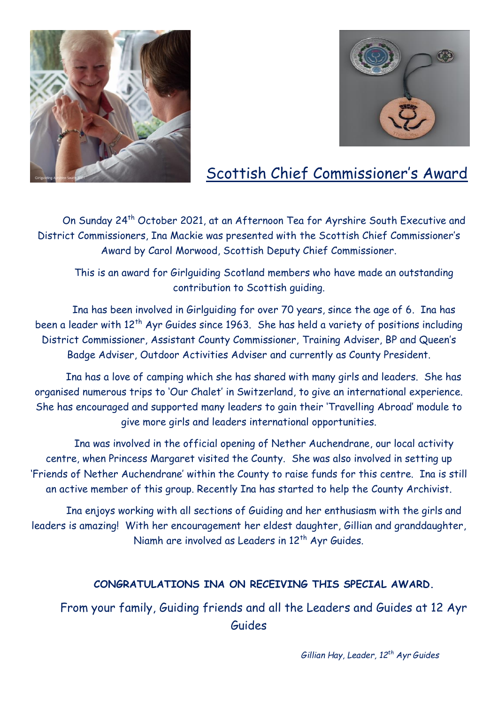



## Scottish Chief Commissioner's Award

On Sunday 24th October 2021, at an Afternoon Tea for Ayrshire South Executive and District Commissioners, Ina Mackie was presented with the Scottish Chief Commissioner's Award by Carol Morwood, Scottish Deputy Chief Commissioner.

This is an award for Girlguiding Scotland members who have made an outstanding contribution to Scottish guiding.

Ina has been involved in Girlguiding for over 70 years, since the age of 6. Ina has been a leader with 12<sup>th</sup> Ayr Guides since 1963. She has held a variety of positions including District Commissioner, Assistant County Commissioner, Training Adviser, BP and Queen's Badge Adviser, Outdoor Activities Adviser and currently as County President.

Ina has a love of camping which she has shared with many girls and leaders. She has organised numerous trips to 'Our Chalet' in Switzerland, to give an international experience. She has encouraged and supported many leaders to gain their 'Travelling Abroad' module to give more girls and leaders international opportunities.

Ina was involved in the official opening of Nether Auchendrane, our local activity centre, when Princess Margaret visited the County. She was also involved in setting up 'Friends of Nether Auchendrane' within the County to raise funds for this centre. Ina is still an active member of this group. Recently Ina has started to help the County Archivist.

Ina enjoys working with all sections of Guiding and her enthusiasm with the girls and leaders is amazing! With her encouragement her eldest daughter, Gillian and granddaughter, Niamh are involved as Leaders in 12<sup>th</sup> Ayr Guides.

## **CONGRATULATIONS INA ON RECEIVING THIS SPECIAL AWARD.**

From your family, Guiding friends and all the Leaders and Guides at 12 Ayr Guides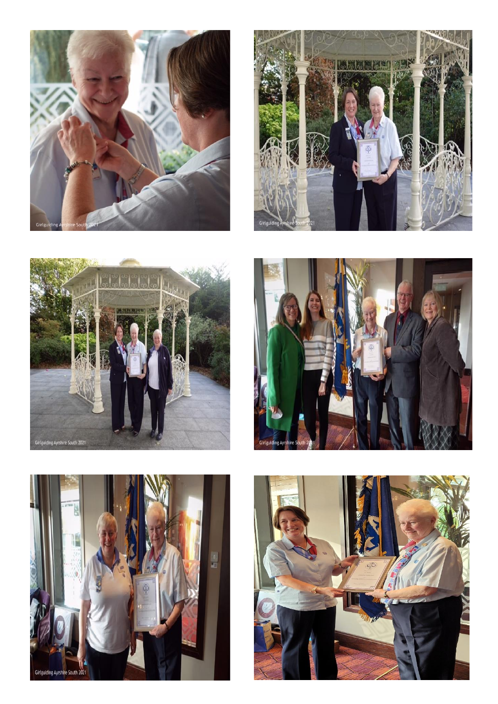